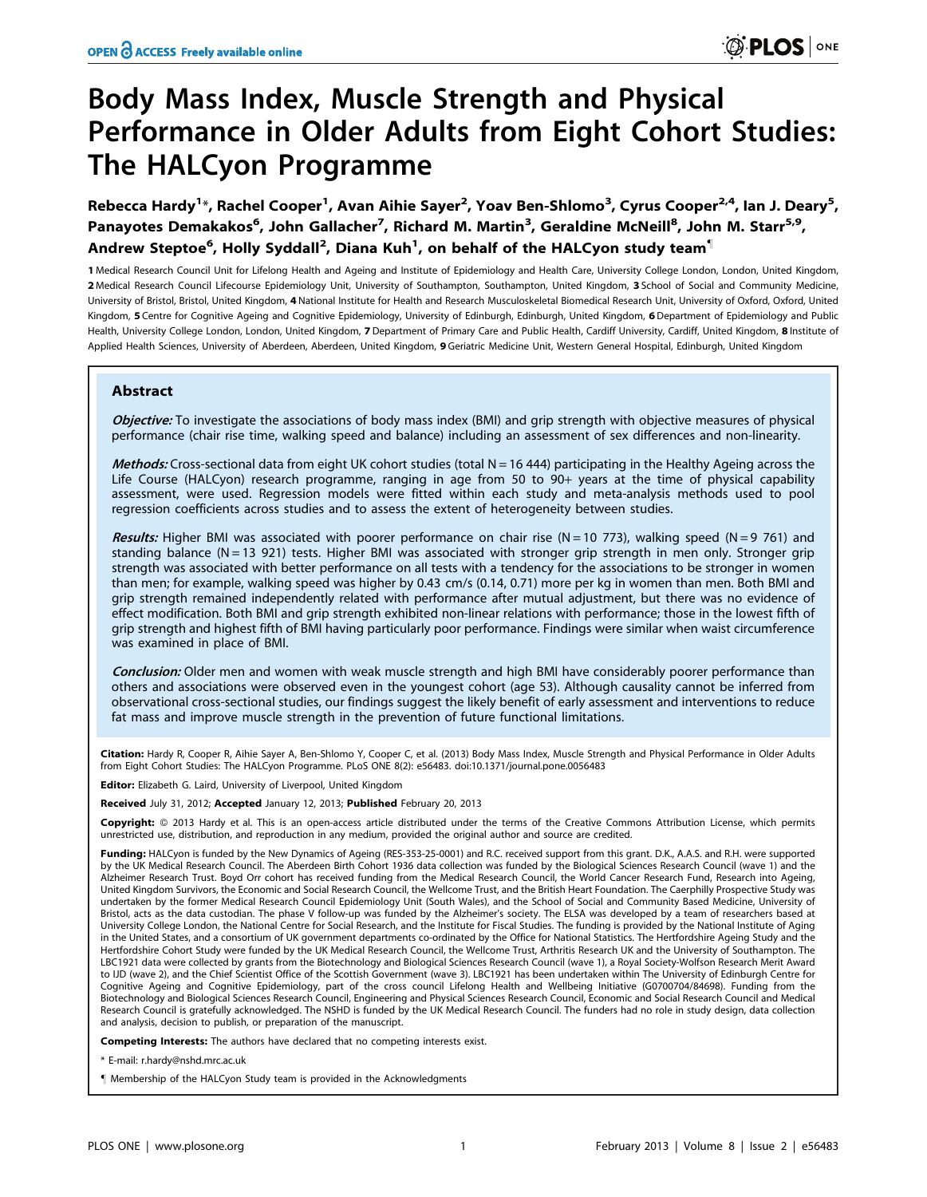# Body Mass Index, Muscle Strength and Physical Performance in Older Adults from Eight Cohort Studies: The HALCyon Programme

Rebecca Hardy<sup>1</sup>\*, Rachel Cooper<sup>1</sup>, Avan Aihie Sayer<sup>2</sup>, Yoav Ben-Shlomo<sup>3</sup>, Cyrus Cooper<sup>2,4</sup>, Ian J. Deary<sup>5</sup>, Panayotes Demakakos<sup>6</sup>, John Gallacher<sup>7</sup>, Richard M. Martin<sup>3</sup>, Geraldine McNeill<sup>8</sup>, John M. Starr<sup>5,9</sup>, Andrew Steptoe $^6$ , Holly Syddall $^2$ , Diana Kuh $^1$ , on behalf of the HALCyon study team $^\P$ 

1 Medical Research Council Unit for Lifelong Health and Ageing and Institute of Epidemiology and Health Care, University College London, London, United Kingdom, 2 Medical Research Council Lifecourse Epidemiology Unit, University of Southampton, Southampton, United Kingdom, 3 School of Social and Community Medicine, University of Bristol, Bristol, United Kingdom, 4 National Institute for Health and Research Musculoskeletal Biomedical Research Unit, University of Oxford, Oxford, United Kingdom, 5 Centre for Cognitive Ageing and Cognitive Epidemiology, University of Edinburgh, Edinburgh, United Kingdom, 6 Department of Epidemiology and Public Health, University College London, London, United Kingdom, 7 Department of Primary Care and Public Health, Cardiff University, Cardiff, United Kingdom, 8 Institute of Applied Health Sciences, University of Aberdeen, Aberdeen, United Kingdom, 9 Geriatric Medicine Unit, Western General Hospital, Edinburgh, United Kingdom

# Abstract

Objective: To investigate the associations of body mass index (BMI) and grip strength with objective measures of physical performance (chair rise time, walking speed and balance) including an assessment of sex differences and non-linearity.

Methods: Cross-sectional data from eight UK cohort studies (total  $N = 16444$ ) participating in the Healthy Ageing across the Life Course (HALCyon) research programme, ranging in age from 50 to 90+ years at the time of physical capability assessment, were used. Regression models were fitted within each study and meta-analysis methods used to pool regression coefficients across studies and to assess the extent of heterogeneity between studies.

Results: Higher BMI was associated with poorer performance on chair rise (N = 10 773), walking speed (N = 9 761) and standing balance (N = 13 921) tests. Higher BMI was associated with stronger grip strength in men only. Stronger grip strength was associated with better performance on all tests with a tendency for the associations to be stronger in women than men; for example, walking speed was higher by 0.43 cm/s (0.14, 0.71) more per kg in women than men. Both BMI and grip strength remained independently related with performance after mutual adjustment, but there was no evidence of effect modification. Both BMI and grip strength exhibited non-linear relations with performance; those in the lowest fifth of grip strength and highest fifth of BMI having particularly poor performance. Findings were similar when waist circumference was examined in place of BMI.

Conclusion: Older men and women with weak muscle strength and high BMI have considerably poorer performance than others and associations were observed even in the youngest cohort (age 53). Although causality cannot be inferred from observational cross-sectional studies, our findings suggest the likely benefit of early assessment and interventions to reduce fat mass and improve muscle strength in the prevention of future functional limitations.

Citation: Hardy R, Cooper R, Aihie Sayer A, Ben-Shlomo Y, Cooper C, et al. (2013) Body Mass Index, Muscle Strength and Physical Performance in Older Adults from Eight Cohort Studies: The HALCyon Programme. PLoS ONE 8(2): e56483. doi:10.1371/journal.pone.0056483

Editor: Elizabeth G. Laird, University of Liverpool, United Kingdom

Received July 31, 2012; Accepted January 12, 2013; Published February 20, 2013

Copyright: © 2013 Hardy et al. This is an open-access article distributed under the terms of the Creative Commons Attribution License, which permits unrestricted use, distribution, and reproduction in any medium, provided the original author and source are credited.

Funding: HALCyon is funded by the New Dynamics of Ageing (RES-353-25-0001) and R.C. received support from this grant. D.K., A.A.S. and R.H. were supported by the UK Medical Research Council. The Aberdeen Birth Cohort 1936 data collection was funded by the Biological Sciences Research Council (wave 1) and the Alzheimer Research Trust. Boyd Orr cohort has received funding from the Medical Research Council, the World Cancer Research Fund, Research into Ageing, United Kingdom Survivors, the Economic and Social Research Council, the Wellcome Trust, and the British Heart Foundation. The Caerphilly Prospective Study was undertaken by the former Medical Research Council Epidemiology Unit (South Wales), and the School of Social and Community Based Medicine, University of Bristol, acts as the data custodian. The phase V follow-up was funded by the Alzheimer's society. The ELSA was developed by a team of researchers based at University College London, the National Centre for Social Research, and the Institute for Fiscal Studies. The funding is provided by the National Institute of Aging in the United States, and a consortium of UK government departments co-ordinated by the Office for National Statistics. The Hertfordshire Ageing Study and the Hertfordshire Cohort Study were funded by the UK Medical Research Council, the Wellcome Trust, Arthritis Research UK and the University of Southampton. The LBC1921 data were collected by grants from the Biotechnology and Biological Sciences Research Council (wave 1), a Royal Society-Wolfson Research Merit Award to IJD (wave 2), and the Chief Scientist Office of the Scottish Government (wave 3). LBC1921 has been undertaken within The University of Edinburgh Centre for Cognitive Ageing and Cognitive Epidemiology, part of the cross council Lifelong Health and Wellbeing Initiative (G0700704/84698). Funding from the<br>Biotechnology and Biological Sciences Research Council, Engineering and Phy Research Council is gratefully acknowledged. The NSHD is funded by the UK Medical Research Council. The funders had no role in study design, data collection and analysis, decision to publish, or preparation of the manuscript.

Competing Interests: The authors have declared that no competing interests exist.

\* E-mail: r.hardy@nshd.mrc.ac.uk

" Membership of the HALCyon Study team is provided in the Acknowledgments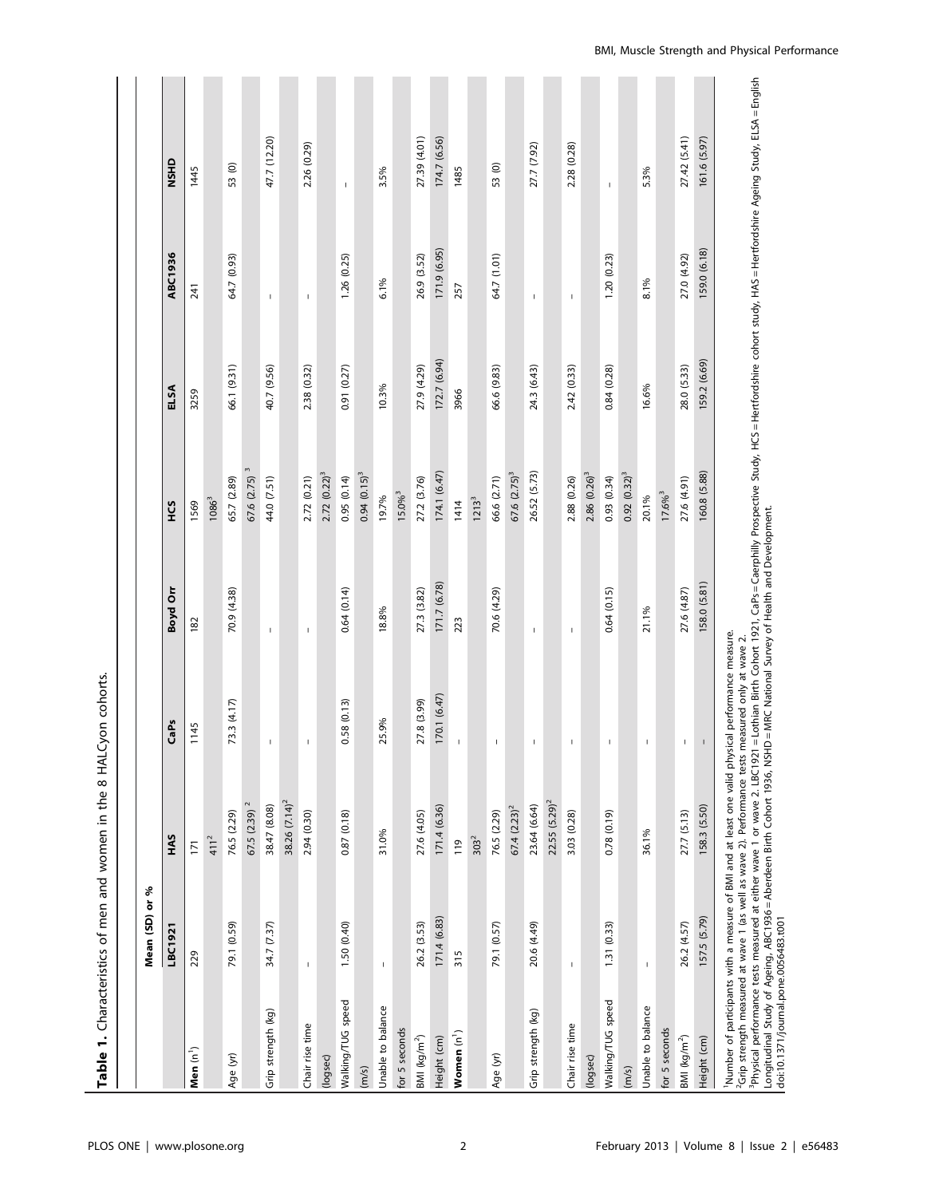| $-200$ contracts                           |
|--------------------------------------------|
| )<br> <br>                                 |
|                                            |
|                                            |
| ֚<br>コリコンニュー                               |
|                                            |
| ratterictive of mean and women in the<br>ī |
|                                            |
|                                            |

|                                       | ४<br>Mean (SD) or |                                                                                                                                                                                                                                                                                                                                                                                                                                                                   |              |                          |                          |              |              |              |
|---------------------------------------|-------------------|-------------------------------------------------------------------------------------------------------------------------------------------------------------------------------------------------------------------------------------------------------------------------------------------------------------------------------------------------------------------------------------------------------------------------------------------------------------------|--------------|--------------------------|--------------------------|--------------|--------------|--------------|
|                                       | LBC1921           | SWH                                                                                                                                                                                                                                                                                                                                                                                                                                                               | CaPs         | Boyd Orr                 | СS<br>Н                  | ELSA         | ABC1936      | <b>USHD</b>  |
| Men $(n^1)$                           | 229               | 171                                                                                                                                                                                                                                                                                                                                                                                                                                                               | 1145         | 182                      | 1569                     | 3259         | 241          | 1445         |
|                                       |                   | 411 <sup>2</sup>                                                                                                                                                                                                                                                                                                                                                                                                                                                  |              |                          | $1086^{3}$               |              |              |              |
| Age (yr)                              | 79.1 (0.59)       | 76.5 (2.29)                                                                                                                                                                                                                                                                                                                                                                                                                                                       | 73.3 (4.17)  | 70.9 (4.38)              | 65.7 (2.89)              | 66.1 (9.31)  | 64.7 (0.93)  | 53 (0)       |
|                                       |                   | 67.5 (2.39) <sup>2</sup>                                                                                                                                                                                                                                                                                                                                                                                                                                          |              |                          | 67.6 (2.75) 3            |              |              |              |
| Grip strength (kg)                    | 34.7 (7.37)       | 38.47 (8.08)                                                                                                                                                                                                                                                                                                                                                                                                                                                      | $\mathsf{I}$ | $\overline{\phantom{a}}$ | 44.0 (7.51)              | 40.7 (9.56)  | $\mathsf{I}$ | 47.7 (12.20) |
|                                       |                   | 38.26 $(7.14)^2$                                                                                                                                                                                                                                                                                                                                                                                                                                                  |              |                          |                          |              |              |              |
| Chair rise time                       | $\mathsf I$       | 2.94 (0.30)                                                                                                                                                                                                                                                                                                                                                                                                                                                       | $\mathsf I$  | $\mathsf I$              | 2.72 (0.21)              | 2.38 (0.32)  | $\mathsf I$  | 2.26 (0.29)  |
| (logsec)                              |                   |                                                                                                                                                                                                                                                                                                                                                                                                                                                                   |              |                          | $2.72 (0.22)^{3}$        |              |              |              |
| Walking/TUG speed                     | 1.50 (0.40)       | 0.87(0.18)                                                                                                                                                                                                                                                                                                                                                                                                                                                        | 0.58(0.13)   | 0.64(0.14)               | 0.95(0.14)               | 0.91 (0.27)  | 1.26 (0.25)  | $\mathsf I$  |
| (m/s)                                 |                   |                                                                                                                                                                                                                                                                                                                                                                                                                                                                   |              |                          | $0.94~(0.15)^3$          |              |              |              |
| Unable to balance                     | $\mathsf I$       | 31.0%                                                                                                                                                                                                                                                                                                                                                                                                                                                             | 25.9%        | 18.8%                    | 19.7%                    | 10.3%        | 6.1%         | 3.5%         |
| for 5 seconds                         |                   |                                                                                                                                                                                                                                                                                                                                                                                                                                                                   |              |                          | $15.0\%$ <sup>3</sup>    |              |              |              |
| BMI ( $kg/m2$ )                       | 26.2 (3.53)       | 27.6 (4.05)                                                                                                                                                                                                                                                                                                                                                                                                                                                       | 27.8 (3.99)  | 27.3 (3.82)              | 27.2 (3.76)              | 27.9 (4.29)  | 26.9 (3.52)  | 27.39 (4.01) |
| Height (cm)                           | 171.4 (6.83)      | 171.4 (6.36)                                                                                                                                                                                                                                                                                                                                                                                                                                                      | 170.1 (6.47) | 171.7 (6.78)             | 174.1 (6.47)             | 172.7 (6.94) | 171.9 (6.95) | 174.7 (6.56) |
| Women $(n^1)$                         | 315               | 119                                                                                                                                                                                                                                                                                                                                                                                                                                                               | $\mathsf I$  | 223                      | 1414                     | 3966         | 257          | 1485         |
|                                       |                   | $303^{2}$                                                                                                                                                                                                                                                                                                                                                                                                                                                         |              |                          | $1213^3$                 |              |              |              |
| Age (yr)                              | 79.1 (0.57)       | 76.5 (2.29)                                                                                                                                                                                                                                                                                                                                                                                                                                                       | $\mathsf I$  | 70.6 (4.29)              | 66.6 (2.71)              | 66.6 (9.83)  | 64.7 (1.01)  | 53 (0)       |
|                                       |                   | $67.4 (2.23)^2$                                                                                                                                                                                                                                                                                                                                                                                                                                                   |              |                          | 67.6 (2.75) <sup>3</sup> |              |              |              |
| Grip strength (kg)                    | 20.6 (4.49)       | 23.64 (6.64)                                                                                                                                                                                                                                                                                                                                                                                                                                                      | $\mathsf I$  | $\mathsf I$              | 26.52 (5.73)             | 24.3 (6.43)  | $\mathsf{I}$ | 27.7 (7.92)  |
|                                       |                   | 22.55 (5.29) <sup>2</sup>                                                                                                                                                                                                                                                                                                                                                                                                                                         |              |                          |                          |              |              |              |
| Chair rise time                       | $\mathsf I$       | 3.03 (0.28)                                                                                                                                                                                                                                                                                                                                                                                                                                                       | $\mathsf I$  | $\mathsf I$              | 2.88 (0.26)              | 2.42 (0.33)  | $\mathsf I$  | 2.28 (0.28)  |
| (logsec)                              |                   |                                                                                                                                                                                                                                                                                                                                                                                                                                                                   |              |                          | $2.86~(0.26)^3$          |              |              |              |
| Walking/TUG speed                     | 1.31(0.33)        | $(61.0)$ 87.0                                                                                                                                                                                                                                                                                                                                                                                                                                                     | $\mathsf I$  | 0.64 (0.15)              | (0.34)                   | 0.84 (0.28)  | 1.20(0.23)   | $\mathbf I$  |
| (m/s)                                 |                   |                                                                                                                                                                                                                                                                                                                                                                                                                                                                   |              |                          | $0.92~(0.32)^3$          |              |              |              |
| Unable to balance                     | $\mathbb{L}$      | 36.1%                                                                                                                                                                                                                                                                                                                                                                                                                                                             | L            | 21.1%                    | 20.1%                    | 16.6%        | 8.1%         | 5.3%         |
| for 5 seconds                         |                   |                                                                                                                                                                                                                                                                                                                                                                                                                                                                   |              |                          | $17.6\%$ <sup>3</sup>    |              |              |              |
| BMI ( $kg/m2$ )                       | 26.2 (4.57)       | 27.7 (5.13)                                                                                                                                                                                                                                                                                                                                                                                                                                                       | $\mathsf I$  | 27.6 (4.87)              | 27.6 (4.91)              | 28.0 (5.33)  | 27.0 (4.92)  | 27.42 (5.41) |
| Height (cm)                           | 157.5 (5.79)      | 158.3 (5.50)                                                                                                                                                                                                                                                                                                                                                                                                                                                      | $\mathsf I$  | 158.0 (5.81)             | 160.8 (5.88)             | 159.2 (6.69) | 159.0 (6.18) | 161.6 (5.97) |
| doi:10.1371/journal.pone.0056483.t001 |                   | <sup>3</sup> Physical performance tests measured at either wave 1 or wave 2. LBC1921 = Lothian Birth Cohort 1921, CaPs =Caerphilly Prospective Study, HCS=Hertfordshire cohort study, HAS= Hertfordshire Ageing Study, ELSA=English<br>Long<br>Number of participants with a measure of BMI and at least one valid physical performance measure.<br><sup>2</sup> Grip strength measured at wave 1 (as well as wave 2). Performance tests measured only at wave 2. |              |                          |                          |              |              |              |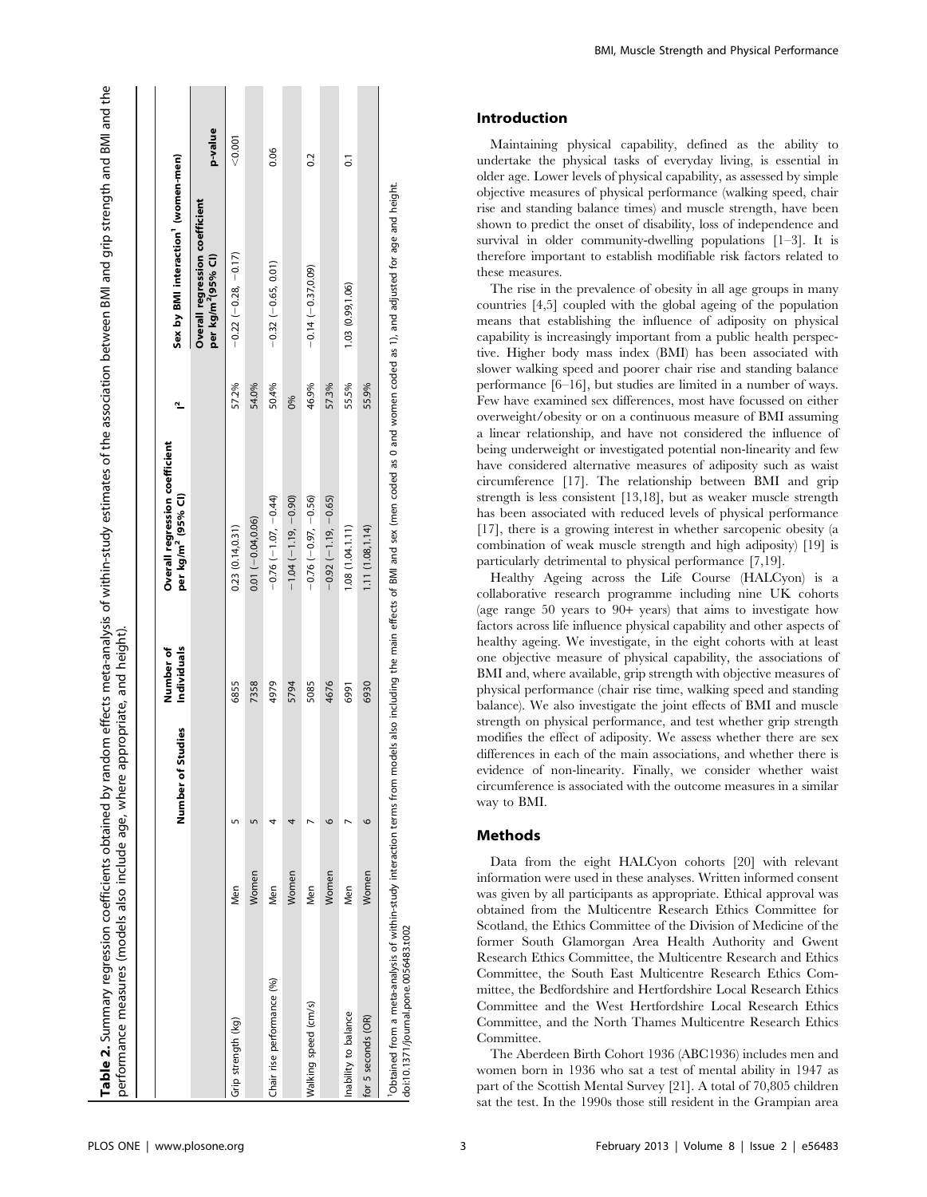|                            |       |                      | Number of   | Overall regression coefficient |           |                                                                         |                |
|----------------------------|-------|----------------------|-------------|--------------------------------|-----------|-------------------------------------------------------------------------|----------------|
|                            |       | Studies<br>Number of | Individuals | per kg/m <sup>2</sup> (95% Cl) | <u>يہ</u> | Sex by BMI interaction <sup>1</sup> (women-men)                         |                |
|                            |       |                      |             |                                |           | <b>Overall regression coefficient</b><br>per kg/m <sup>-</sup> (95% Cl) | p-value        |
| Grip strength (kg)         | Men   |                      | 6855        | 0.23(0.14, 0.31)               | 57.2%     | $-0.22$ $(-0.28, -0.17)$                                                | 0.001          |
|                            | Women |                      | 7358        | $0.01 (-0.04, 0.06)$           | 54.0%     |                                                                         |                |
| Chair rise performance (%) | Men   |                      | 4979        | $-0.76(-1.07, -0.44)$          | 50.4%     | $-0.32$ ( $-0.65, 0.01$ )                                               | 0.06           |
|                            | Women |                      | 5794        | $-1.04 (-1.19, -0.90)$         | 0%        |                                                                         |                |
| Walking speed (cm/s)       | Men   |                      | 5085        | $-0.76(-0.97, -0.56)$          | 46.9%     | $-0.14 (-0.37, 0.09)$                                                   | $\sim$         |
|                            | Women | G                    | 4676        | $-0.92(-1.19, -0.65)$          | 57.3%     |                                                                         |                |
| Inability to balance       | Men   |                      | 6991        | 1.08 (1.04.1.11)               | 55.5%     | 1.03 (0.99, 1.06)                                                       | $\overline{c}$ |
| for 5 seconds (OR)         | Women | $\circ$              | 6930        | 1.11(1.08, 1.14)               | 55.9%     |                                                                         |                |

#### Introduction

Maintaining physical capability, defined as the ability to undertake the physical tasks of everyday living, is essential in older age. Lower levels of physical capability, as assessed by simple objective measures of physical performance (walking speed, chair rise and standing balance times) and muscle strength, have been shown to predict the onset of disability, loss of independence and survival in older community-dwelling populations [1–3]. It is therefore important to establish modifiable risk factors related to these measures.

The rise in the prevalence of obesity in all age groups in many countries [4,5] coupled with the global ageing of the population means that establishing the influence of adiposity on physical capability is increasingly important from a public health perspective. Higher body mass index (BMI) has been associated with slower walking speed and poorer chair rise and standing balance performance [6–16], but studies are limited in a number of ways. Few have examined sex differences, most have focussed on either overweight/obesity or on a continuous measure of BMI assuming a linear relationship, and have not considered the influence of being underweight or investigated potential non-linearity and few have considered alternative measures of adiposity such as waist circumference [17]. The relationship between BMI and grip strength is less consistent [13,18], but as weaker muscle strength has been associated with reduced levels of physical performance [17], there is a growing interest in whether sarcopenic obesity (a combination of weak muscle strength and high adiposity) [19] is particularly detrimental to physical performance [7,19].

Healthy Ageing across the Life Course (HALCyon) is a collaborative research programme including nine UK cohorts (age range 50 years to 90+ years) that aims to investigate how factors across life influence physical capability and other aspects of healthy ageing. We investigate, in the eight cohorts with at least one objective measure of physical capability, the associations of BMI and, where available, grip strength with objective measures of physical performance (chair rise time, walking speed and standing balance). We also investigate the joint effects of BMI and muscle strength on physical performance, and test whether grip strength modifies the effect of adiposity. We assess whether there are sex differences in each of the main associations, and whether there is evidence of non-linearity. Finally, we consider whether waist circumference is associated with the outcome measures in a similar way to BMI.

## Methods

Data from the eight HALCyon cohorts [20] with relevant information were used in these analyses. Written informed consent was given by all participants as appropriate. Ethical approval was obtained from the Multicentre Research Ethics Committee for Scotland, the Ethics Committee of the Division of Medicine of the former South Glamorgan Area Health Authority and Gwent Research Ethics Committee, the Multicentre Research and Ethics Committee, the South East Multicentre Research Ethics Committee, the Bedfordshire and Hertfordshire Local Research Ethics Committee and the West Hertfordshire Local Research Ethics Committee, and the North Thames Multicentre Research Ethics Committee.

The Aberdeen Birth Cohort 1936 (ABC1936) includes men and women born in 1936 who sat a test of mental ability in 1947 as part of the Scottish Mental Survey [21]. A total of 70,805 children sat the test. In the 1990s those still resident in the Grampian area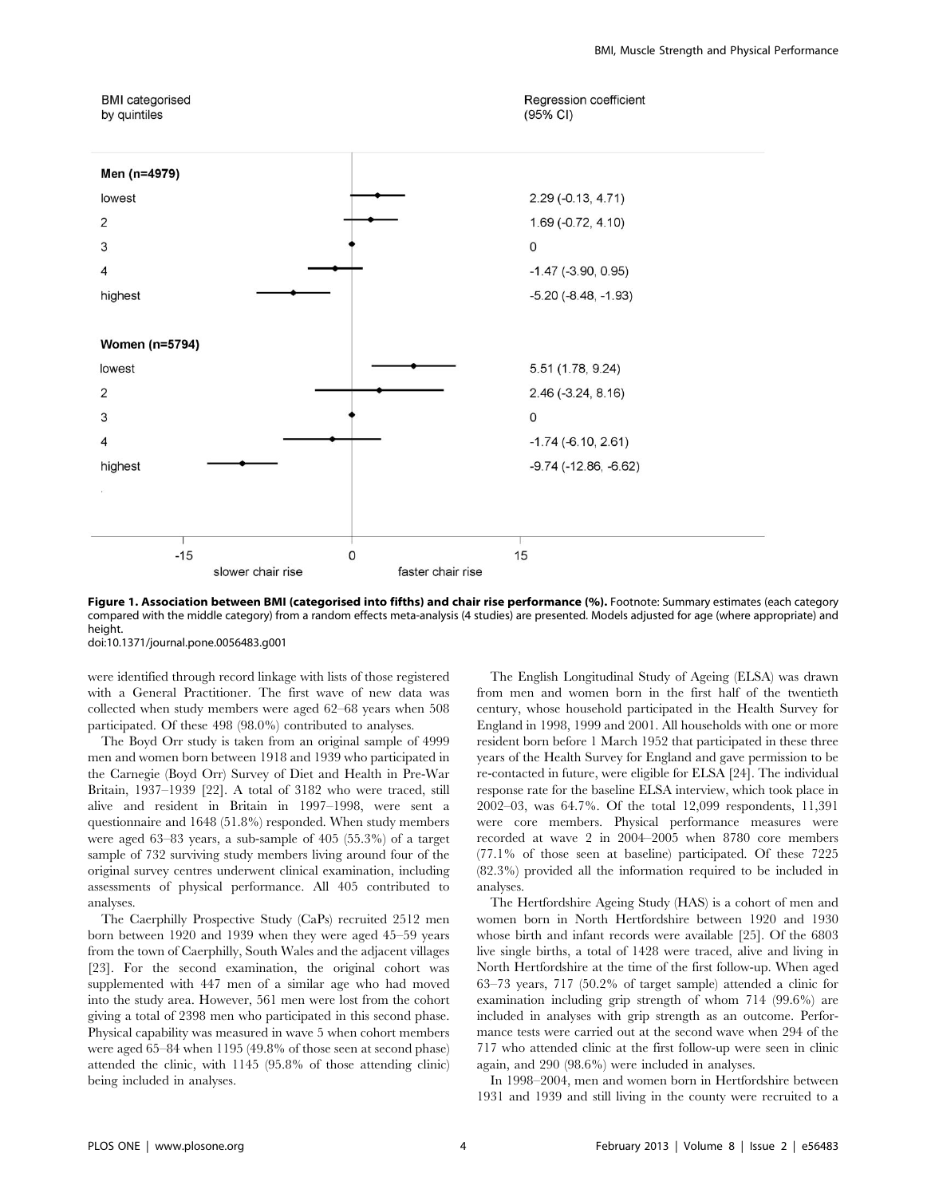

Figure 1. Association between BMI (categorised into fifths) and chair rise performance (%). Footnote: Summary estimates (each category compared with the middle category) from a random effects meta-analysis (4 studies) are presented. Models adjusted for age (where appropriate) and height. doi:10.1371/journal.pone.0056483.g001

were identified through record linkage with lists of those registered with a General Practitioner. The first wave of new data was collected when study members were aged 62–68 years when 508 participated. Of these 498 (98.0%) contributed to analyses.

The Boyd Orr study is taken from an original sample of 4999 men and women born between 1918 and 1939 who participated in the Carnegie (Boyd Orr) Survey of Diet and Health in Pre-War Britain, 1937–1939 [22]. A total of 3182 who were traced, still alive and resident in Britain in 1997–1998, were sent a questionnaire and 1648 (51.8%) responded. When study members were aged 63–83 years, a sub-sample of 405 (55.3%) of a target sample of 732 surviving study members living around four of the original survey centres underwent clinical examination, including assessments of physical performance. All 405 contributed to analyses.

The Caerphilly Prospective Study (CaPs) recruited 2512 men born between 1920 and 1939 when they were aged 45–59 years from the town of Caerphilly, South Wales and the adjacent villages [23]. For the second examination, the original cohort was supplemented with 447 men of a similar age who had moved into the study area. However, 561 men were lost from the cohort giving a total of 2398 men who participated in this second phase. Physical capability was measured in wave 5 when cohort members were aged 65–84 when 1195 (49.8% of those seen at second phase) attended the clinic, with 1145 (95.8% of those attending clinic) being included in analyses.

The English Longitudinal Study of Ageing (ELSA) was drawn from men and women born in the first half of the twentieth century, whose household participated in the Health Survey for England in 1998, 1999 and 2001. All households with one or more resident born before 1 March 1952 that participated in these three years of the Health Survey for England and gave permission to be re-contacted in future, were eligible for ELSA [24]. The individual response rate for the baseline ELSA interview, which took place in 2002–03, was 64.7%. Of the total 12,099 respondents, 11,391 were core members. Physical performance measures were recorded at wave 2 in 2004–2005 when 8780 core members (77.1% of those seen at baseline) participated. Of these 7225 (82.3%) provided all the information required to be included in analyses.

The Hertfordshire Ageing Study (HAS) is a cohort of men and women born in North Hertfordshire between 1920 and 1930 whose birth and infant records were available [25]. Of the 6803 live single births, a total of 1428 were traced, alive and living in North Hertfordshire at the time of the first follow-up. When aged 63–73 years, 717 (50.2% of target sample) attended a clinic for examination including grip strength of whom 714 (99.6%) are included in analyses with grip strength as an outcome. Performance tests were carried out at the second wave when 294 of the 717 who attended clinic at the first follow-up were seen in clinic again, and 290 (98.6%) were included in analyses.

In 1998–2004, men and women born in Hertfordshire between 1931 and 1939 and still living in the county were recruited to a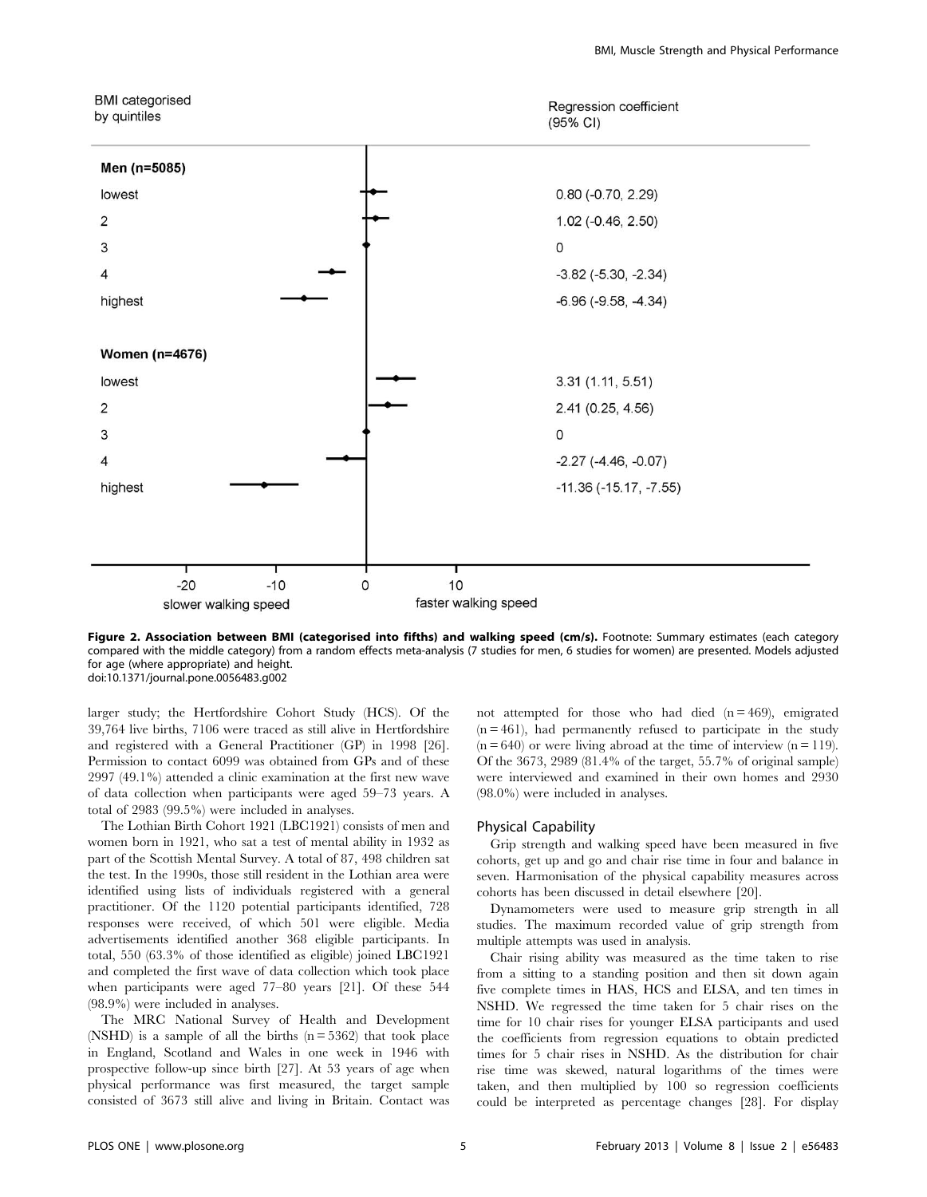

Figure 2. Association between BMI (categorised into fifths) and walking speed (cm/s). Footnote: Summary estimates (each category compared with the middle category) from a random effects meta-analysis (7 studies for men, 6 studies for women) are presented. Models adjusted for age (where appropriate) and height. doi:10.1371/journal.pone.0056483.g002

larger study; the Hertfordshire Cohort Study (HCS). Of the 39,764 live births, 7106 were traced as still alive in Hertfordshire and registered with a General Practitioner (GP) in 1998 [26]. Permission to contact 6099 was obtained from GPs and of these 2997 (49.1%) attended a clinic examination at the first new wave of data collection when participants were aged 59–73 years. A total of 2983 (99.5%) were included in analyses.

The Lothian Birth Cohort 1921 (LBC1921) consists of men and women born in 1921, who sat a test of mental ability in 1932 as part of the Scottish Mental Survey. A total of 87, 498 children sat the test. In the 1990s, those still resident in the Lothian area were identified using lists of individuals registered with a general practitioner. Of the 1120 potential participants identified, 728 responses were received, of which 501 were eligible. Media advertisements identified another 368 eligible participants. In total, 550 (63.3% of those identified as eligible) joined LBC1921 and completed the first wave of data collection which took place when participants were aged 77–80 years [21]. Of these 544 (98.9%) were included in analyses.

The MRC National Survey of Health and Development (NSHD) is a sample of all the births  $(n = 5362)$  that took place in England, Scotland and Wales in one week in 1946 with prospective follow-up since birth [27]. At 53 years of age when physical performance was first measured, the target sample consisted of 3673 still alive and living in Britain. Contact was not attempted for those who had died  $(n = 469)$ , emigrated  $(n = 461)$ , had permanently refused to participate in the study  $(n = 640)$  or were living abroad at the time of interview  $(n = 119)$ . Of the 3673, 2989 (81.4% of the target, 55.7% of original sample) were interviewed and examined in their own homes and 2930 (98.0%) were included in analyses.

#### Physical Capability

Grip strength and walking speed have been measured in five cohorts, get up and go and chair rise time in four and balance in seven. Harmonisation of the physical capability measures across cohorts has been discussed in detail elsewhere [20].

Dynamometers were used to measure grip strength in all studies. The maximum recorded value of grip strength from multiple attempts was used in analysis.

Chair rising ability was measured as the time taken to rise from a sitting to a standing position and then sit down again five complete times in HAS, HCS and ELSA, and ten times in NSHD. We regressed the time taken for 5 chair rises on the time for 10 chair rises for younger ELSA participants and used the coefficients from regression equations to obtain predicted times for 5 chair rises in NSHD. As the distribution for chair rise time was skewed, natural logarithms of the times were taken, and then multiplied by 100 so regression coefficients could be interpreted as percentage changes [28]. For display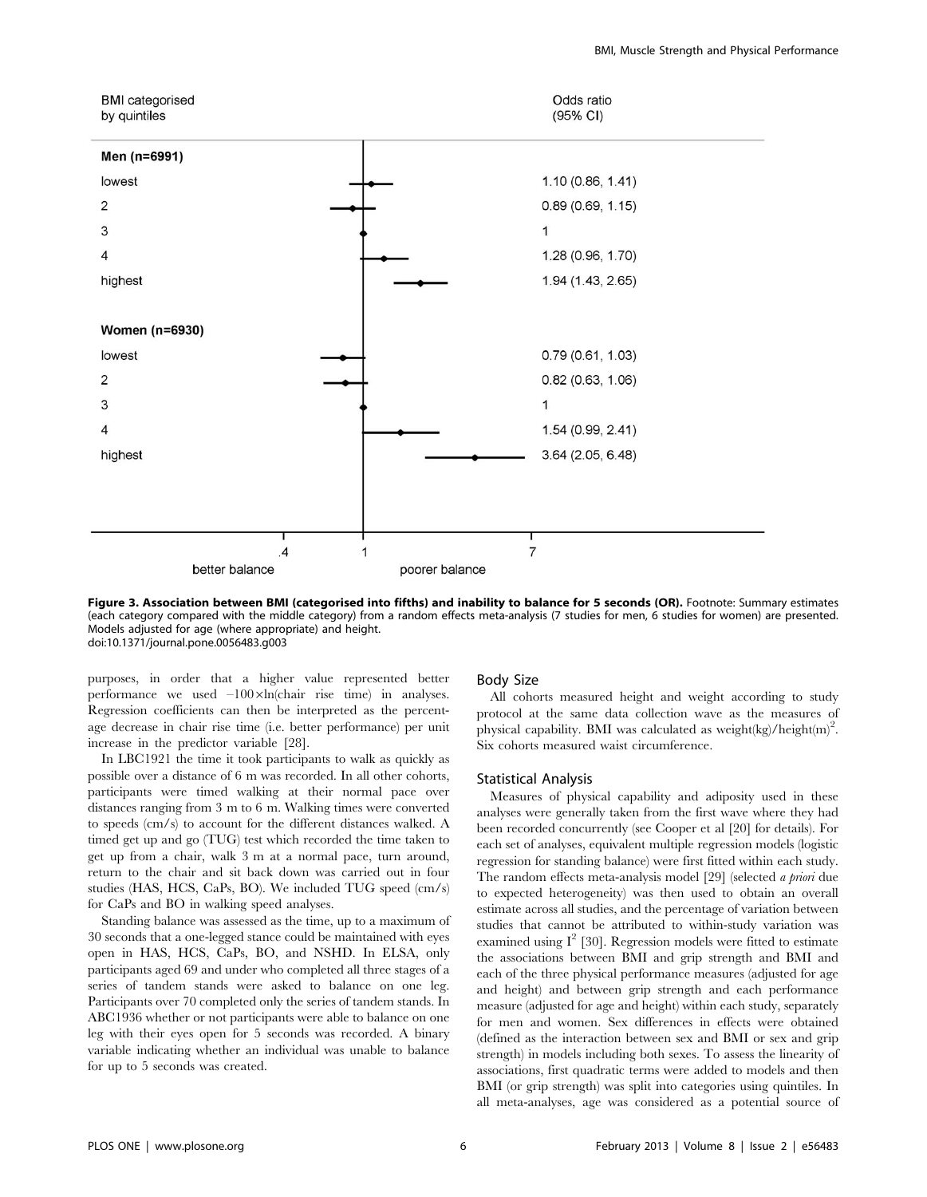

Figure 3. Association between BMI (categorised into fifths) and inability to balance for 5 seconds (OR). Footnote: Summary estimates (each category compared with the middle category) from a random effects meta-analysis (7 studies for men, 6 studies for women) are presented. Models adjusted for age (where appropriate) and height. doi:10.1371/journal.pone.0056483.g003

purposes, in order that a higher value represented better performance we used  $-100 \times ln(chair$  rise time) in analyses. Regression coefficients can then be interpreted as the percentage decrease in chair rise time (i.e. better performance) per unit increase in the predictor variable [28].

In LBC1921 the time it took participants to walk as quickly as possible over a distance of 6 m was recorded. In all other cohorts, participants were timed walking at their normal pace over distances ranging from 3 m to 6 m. Walking times were converted to speeds (cm/s) to account for the different distances walked. A timed get up and go (TUG) test which recorded the time taken to get up from a chair, walk 3 m at a normal pace, turn around, return to the chair and sit back down was carried out in four studies (HAS, HCS, CaPs, BO). We included TUG speed (cm/s) for CaPs and BO in walking speed analyses.

Standing balance was assessed as the time, up to a maximum of 30 seconds that a one-legged stance could be maintained with eyes open in HAS, HCS, CaPs, BO, and NSHD. In ELSA, only participants aged 69 and under who completed all three stages of a series of tandem stands were asked to balance on one leg. Participants over 70 completed only the series of tandem stands. In ABC1936 whether or not participants were able to balance on one leg with their eyes open for 5 seconds was recorded. A binary variable indicating whether an individual was unable to balance for up to 5 seconds was created.

#### Body Size

All cohorts measured height and weight according to study protocol at the same data collection wave as the measures of physical capability. BMI was calculated as weight(kg)/height(m)<sup>2</sup>. Six cohorts measured waist circumference.

#### Statistical Analysis

Measures of physical capability and adiposity used in these analyses were generally taken from the first wave where they had been recorded concurrently (see Cooper et al [20] for details). For each set of analyses, equivalent multiple regression models (logistic regression for standing balance) were first fitted within each study. The random effects meta-analysis model [29] (selected a priori due to expected heterogeneity) was then used to obtain an overall estimate across all studies, and the percentage of variation between studies that cannot be attributed to within-study variation was examined using  $I^2$  [30]. Regression models were fitted to estimate the associations between BMI and grip strength and BMI and each of the three physical performance measures (adjusted for age and height) and between grip strength and each performance measure (adjusted for age and height) within each study, separately for men and women. Sex differences in effects were obtained (defined as the interaction between sex and BMI or sex and grip strength) in models including both sexes. To assess the linearity of associations, first quadratic terms were added to models and then BMI (or grip strength) was split into categories using quintiles. In all meta-analyses, age was considered as a potential source of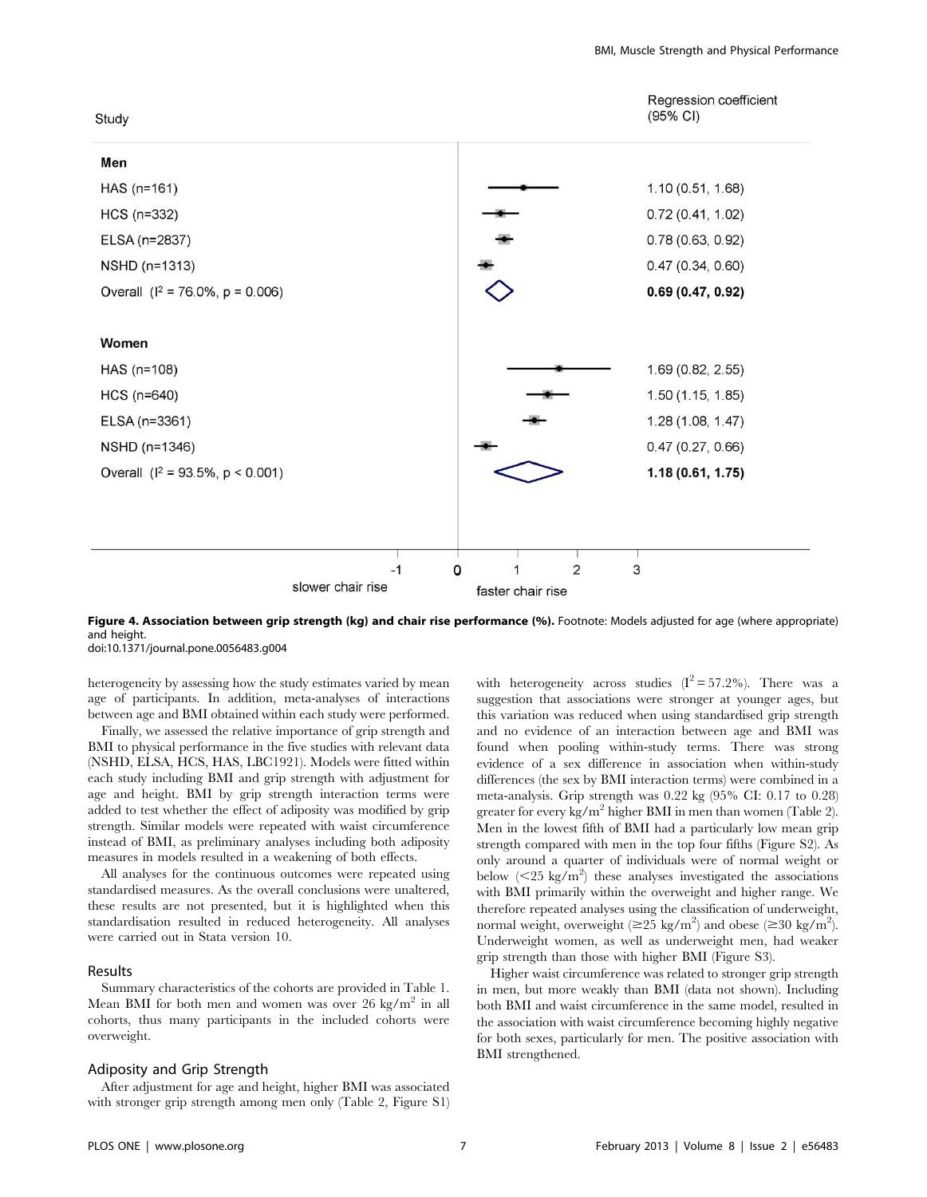

Figure 4. Association between grip strength (kg) and chair rise performance (%). Footnote: Models adjusted for age (where appropriate) and height.

doi:10.1371/journal.pone.0056483.g004

heterogeneity by assessing how the study estimates varied by mean age of participants. In addition, meta-analyses of interactions between age and BMI obtained within each study were performed.

Finally, we assessed the relative importance of grip strength and BMI to physical performance in the five studies with relevant data (NSHD, ELSA, HCS, HAS, LBC1921). Models were fitted within each study including BMI and grip strength with adjustment for age and height. BMI by grip strength interaction terms were added to test whether the effect of adiposity was modified by grip strength. Similar models were repeated with waist circumference instead of BMI, as preliminary analyses including both adiposity measures in models resulted in a weakening of both effects.

All analyses for the continuous outcomes were repeated using standardised measures. As the overall conclusions were unaltered, these results are not presented, but it is highlighted when this standardisation resulted in reduced heterogeneity. All analyses were carried out in Stata version 10.

## Results

Summary characteristics of the cohorts are provided in Table 1. Mean BMI for both men and women was over  $26 \text{ kg/m}^2$  in all cohorts, thus many participants in the included cohorts were overweight.

#### Adiposity and Grip Strength

After adjustment for age and height, higher BMI was associated with stronger grip strength among men only (Table 2, Figure S1) with heterogeneity across studies  $(I^2 = 57.2\%)$ . There was a suggestion that associations were stronger at younger ages, but this variation was reduced when using standardised grip strength and no evidence of an interaction between age and BMI was found when pooling within-study terms. There was strong evidence of a sex difference in association when within-study differences (the sex by BMI interaction terms) were combined in a meta-analysis. Grip strength was 0.22 kg (95% CI: 0.17 to 0.28) greater for every kg/m<sup>2</sup> higher BMI in men than women (Table 2). Men in the lowest fifth of BMI had a particularly low mean grip strength compared with men in the top four fifths (Figure S2). As only around a quarter of individuals were of normal weight or below  $\left( \langle 25 \text{ kg/m}^2 \rangle \right)$  these analyses investigated the associations with BMI primarily within the overweight and higher range. We therefore repeated analyses using the classification of underweight, normal weight, overweight ( $\geq 25$  kg/m<sup>2</sup>) and obese ( $\geq 30$  kg/m<sup>2</sup>). Underweight women, as well as underweight men, had weaker grip strength than those with higher BMI (Figure S3).

Higher waist circumference was related to stronger grip strength in men, but more weakly than BMI (data not shown). Including both BMI and waist circumference in the same model, resulted in the association with waist circumference becoming highly negative for both sexes, particularly for men. The positive association with BMI strengthened.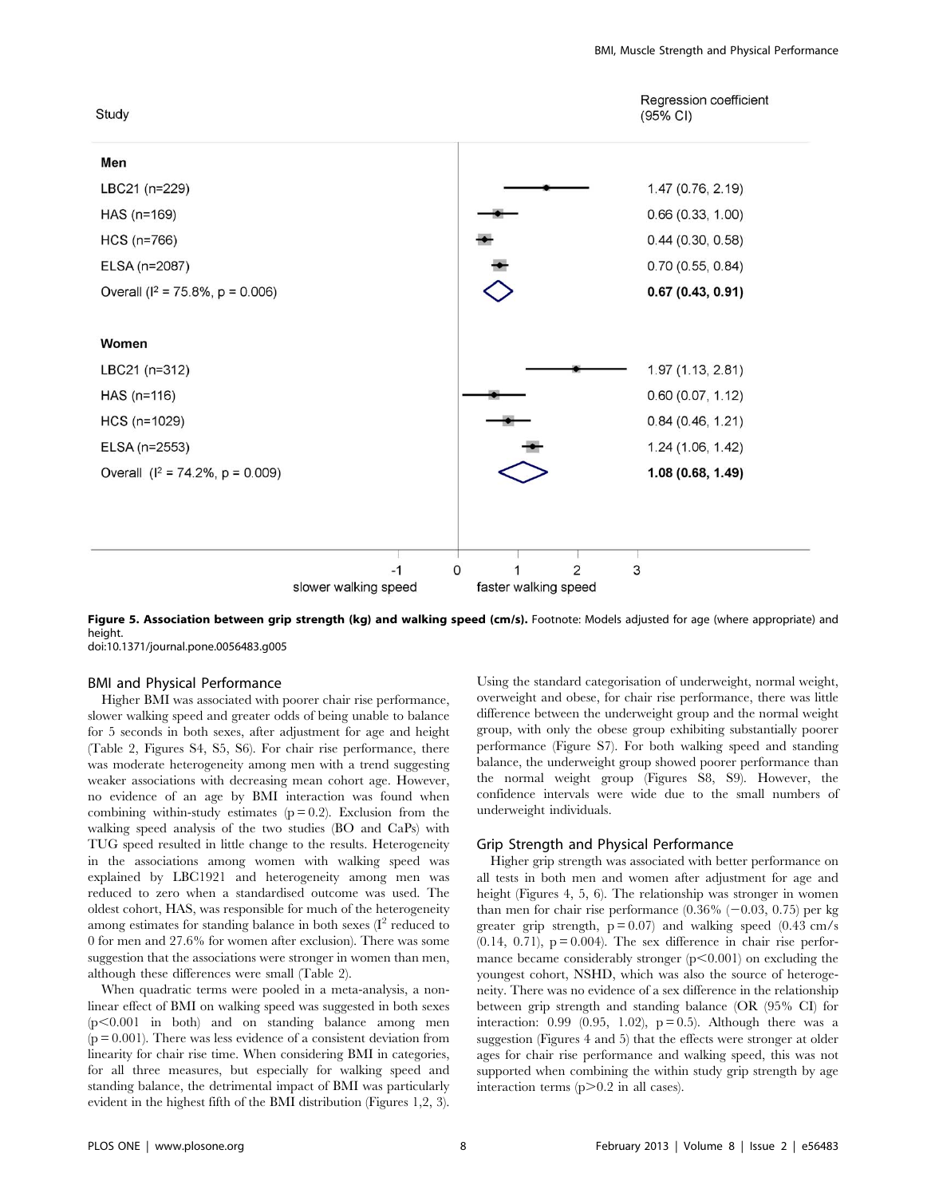

Figure 5. Association between grip strength (kg) and walking speed (cm/s). Footnote: Models adjusted for age (where appropriate) and height.

doi:10.1371/journal.pone.0056483.g005

## BMI and Physical Performance

Higher BMI was associated with poorer chair rise performance, slower walking speed and greater odds of being unable to balance for 5 seconds in both sexes, after adjustment for age and height (Table 2, Figures S4, S5, S6). For chair rise performance, there was moderate heterogeneity among men with a trend suggesting weaker associations with decreasing mean cohort age. However, no evidence of an age by BMI interaction was found when combining within-study estimates  $(p=0.2)$ . Exclusion from the walking speed analysis of the two studies (BO and CaPs) with TUG speed resulted in little change to the results. Heterogeneity in the associations among women with walking speed was explained by LBC1921 and heterogeneity among men was reduced to zero when a standardised outcome was used. The oldest cohort, HAS, was responsible for much of the heterogeneity among estimates for standing balance in both sexes  $(I^2 \text{ reduced to})$ 0 for men and 27.6% for women after exclusion). There was some suggestion that the associations were stronger in women than men, although these differences were small (Table 2).

When quadratic terms were pooled in a meta-analysis, a nonlinear effect of BMI on walking speed was suggested in both sexes  $(p<0.001$  in both) and on standing balance among men  $(p = 0.001)$ . There was less evidence of a consistent deviation from linearity for chair rise time. When considering BMI in categories, for all three measures, but especially for walking speed and standing balance, the detrimental impact of BMI was particularly evident in the highest fifth of the BMI distribution (Figures 1,2, 3).

Using the standard categorisation of underweight, normal weight, overweight and obese, for chair rise performance, there was little difference between the underweight group and the normal weight group, with only the obese group exhibiting substantially poorer performance (Figure S7). For both walking speed and standing balance, the underweight group showed poorer performance than the normal weight group (Figures S8, S9). However, the confidence intervals were wide due to the small numbers of underweight individuals.

# Grip Strength and Physical Performance

Higher grip strength was associated with better performance on all tests in both men and women after adjustment for age and height (Figures 4, 5, 6). The relationship was stronger in women than men for chair rise performance  $(0.36\% (-0.03, 0.75)$  per kg greater grip strength,  $p = 0.07$  and walking speed  $(0.43 \text{ cm/s})$  $(0.14, 0.71)$ ,  $p = 0.004$ ). The sex difference in chair rise performance became considerably stronger  $(p<0.001)$  on excluding the youngest cohort, NSHD, which was also the source of heterogeneity. There was no evidence of a sex difference in the relationship between grip strength and standing balance (OR (95% CI) for interaction:  $0.99$  (0.95, 1.02),  $p = 0.5$ ). Although there was a suggestion (Figures 4 and 5) that the effects were stronger at older ages for chair rise performance and walking speed, this was not supported when combining the within study grip strength by age interaction terms  $(p>0.2$  in all cases).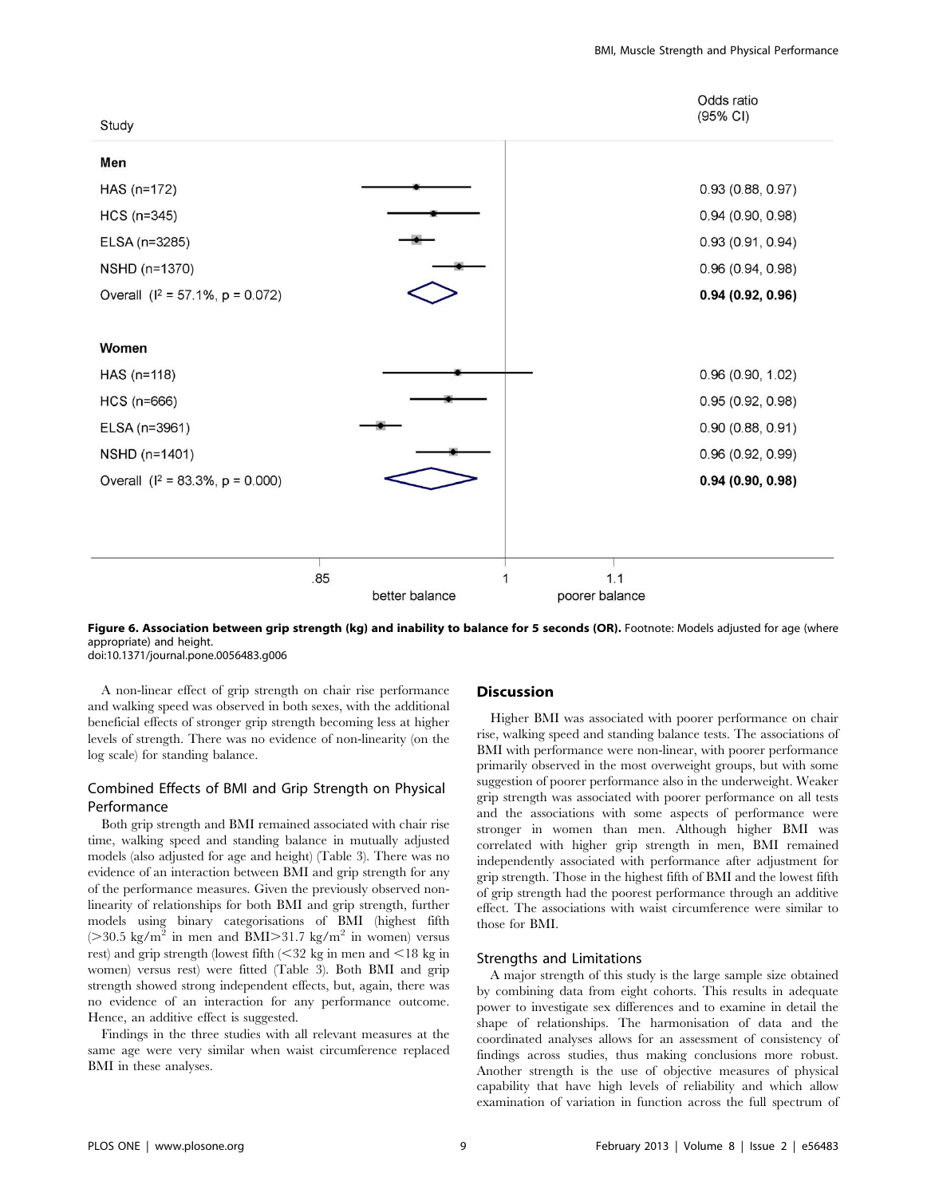

Figure 6. Association between grip strength (kg) and inability to balance for 5 seconds (OR). Footnote: Models adjusted for age (where appropriate) and height. doi:10.1371/journal.pone.0056483.g006

A non-linear effect of grip strength on chair rise performance

and walking speed was observed in both sexes, with the additional beneficial effects of stronger grip strength becoming less at higher levels of strength. There was no evidence of non-linearity (on the log scale) for standing balance.

# Combined Effects of BMI and Grip Strength on Physical Performance

Both grip strength and BMI remained associated with chair rise time, walking speed and standing balance in mutually adjusted models (also adjusted for age and height) (Table 3). There was no evidence of an interaction between BMI and grip strength for any of the performance measures. Given the previously observed nonlinearity of relationships for both BMI and grip strength, further models using binary categorisations of BMI (highest fifth  $(>30.5 \text{ kg/m}^2 \text{ in men and BMI}>31.7 \text{ kg/m}^2 \text{ in women})$  versus rest) and grip strength (lowest fifth  $\approx$  12 kg in men and  $\leq$  18 kg in women) versus rest) were fitted (Table 3). Both BMI and grip strength showed strong independent effects, but, again, there was no evidence of an interaction for any performance outcome. Hence, an additive effect is suggested.

Findings in the three studies with all relevant measures at the same age were very similar when waist circumference replaced BMI in these analyses.

### **Discussion**

Higher BMI was associated with poorer performance on chair rise, walking speed and standing balance tests. The associations of BMI with performance were non-linear, with poorer performance primarily observed in the most overweight groups, but with some suggestion of poorer performance also in the underweight. Weaker grip strength was associated with poorer performance on all tests and the associations with some aspects of performance were stronger in women than men. Although higher BMI was correlated with higher grip strength in men, BMI remained independently associated with performance after adjustment for grip strength. Those in the highest fifth of BMI and the lowest fifth of grip strength had the poorest performance through an additive effect. The associations with waist circumference were similar to those for BMI.

# Strengths and Limitations

A major strength of this study is the large sample size obtained by combining data from eight cohorts. This results in adequate power to investigate sex differences and to examine in detail the shape of relationships. The harmonisation of data and the coordinated analyses allows for an assessment of consistency of findings across studies, thus making conclusions more robust. Another strength is the use of objective measures of physical capability that have high levels of reliability and which allow examination of variation in function across the full spectrum of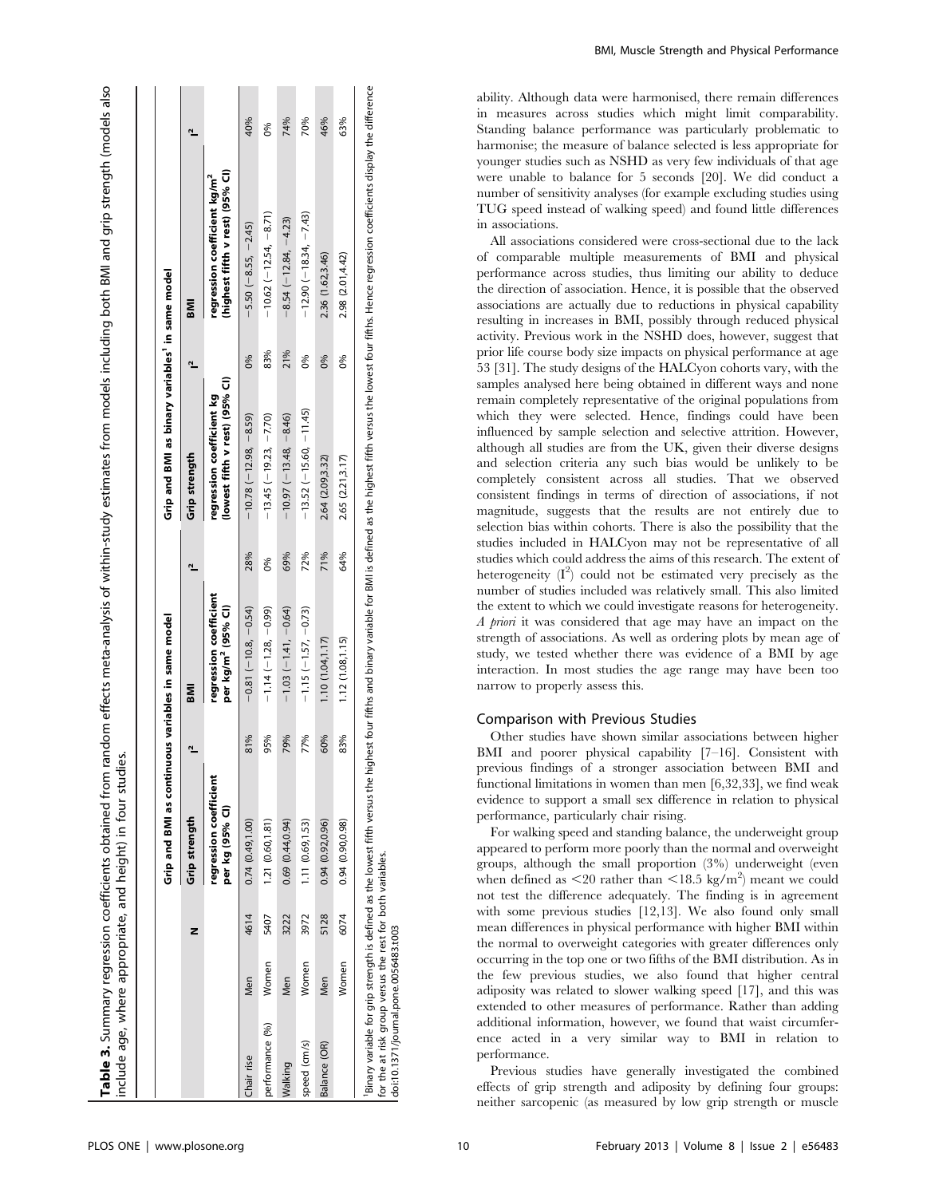|                 |       |      | Grip and BMI as continuous variables in same model |     |                                                          |     | Grip and BMI as binary variables' in same model             |     |                                                                             |     |
|-----------------|-------|------|----------------------------------------------------|-----|----------------------------------------------------------|-----|-------------------------------------------------------------|-----|-----------------------------------------------------------------------------|-----|
|                 |       | z    | Grip strength                                      |     | 隔                                                        | ᄭᅳ  | Grip strength                                               |     | 隔                                                                           | 인   |
|                 |       |      | regression coefficient<br>per kg (95% Cl)          |     | regression coefficient<br>per kg/m <sup>2</sup> (95% CI) |     | (lowest fifth v rest) (95% CI)<br>regression coefficient kg |     | (highest fifth v rest) (95% CI)<br>regression coefficient kg/m <sup>2</sup> |     |
| Chair rise      | Men   | 4614 | 0.74(0.49, 1.00)                                   | 81% | $-0.81(-10.8, -0.54)$                                    | 28% | $-10.78$ (-12.98, -8.59)                                    | 0%  | $-5.50(-8.55, -2.45)$                                                       | 40% |
| performance (%) | Women | 5407 | 1.21 (0.60, 1.81)                                  | 95% | $-1.14(-1.28, -0.99)$                                    | 0%  | $-13.45$ (-19.23, -7.70)                                    | 83% | $-10.62$ ( $-12.54$ , $-8.71$ )                                             | 0%  |
| Walking         | Men   | 3222 | 0.69 (0.44,0.94)                                   | 79% | $-1.03(-1.41,-0.64)$                                     | 69% | $-10.97(-13.48, -8.46)$                                     | 21% | $-8.54(-12.84, -4.23)$                                                      | 74% |
| speed (cm/s)    | Women | 3972 | 1.11 (0.69, 1.53)                                  | 77% | $-1.15(-1.57, -0.73)$                                    | 72% | $-13.52(-15.60, -11.45)$                                    | 0%  | $-12.90(-18.34, -7.43)$                                                     | 70% |
| Balance (OR)    | Men   | 5128 | 0.94(0.92, 0.96)                                   | 60% | 1.10 (1.04, 1.17)                                        | 71% | 2.64 (2.09,3.32)                                            | 0%  | 2.36 (1.62,3.46)                                                            | 46% |
|                 | Women | 6074 | 0.94(0.90, 0.98)                                   | 83% | 1.12(1.08, 1.15)                                         | 64% | 2.65 (2.21,3.17)                                            | 0%  | 2.98 (2.01, 4.42)                                                           | 63% |

Table 3. Summary regression coefficients obtained from random effects meta-analysis of within-study estimates from models including both BMI and grip strength (models also

Table 3. Summary regression coefficients obtained from random effects meta-analysis of within-study estimates from models including both BMI and grip strength (models also

BMI, Muscle Strength and Physical Performance

ability. Although data were harmonised, there remain differences in measures across studies which might limit comparability. Standing balance performance was particularly problematic to harmonise; the measure of balance selected is less appropriate for younger studies such as NSHD as very few individuals of that age were unable to balance for 5 seconds [20]. We did conduct a number of sensitivity analyses (for example excluding studies using TUG speed instead of walking speed) and found little differences in associations.

All associations considered were cross-sectional due to the lack of comparable multiple measurements of BMI and physical performance across studies, thus limiting our ability to deduce the direction of association. Hence, it is possible that the observed associations are actually due to reductions in physical capability resulting in increases in BMI, possibly through reduced physical activity. Previous work in the NSHD does, however, suggest that prior life course body size impacts on physical performance at age 53 [31]. The study designs of the HALCyon cohorts vary, with the samples analysed here being obtained in different ways and none remain completely representative of the original populations from which they were selected. Hence, findings could have been influenced by sample selection and selective attrition. However, although all studies are from the UK, given their diverse designs and selection criteria any such bias would be unlikely to be completely consistent across all studies. That we observed consistent findings in terms of direction of associations, if not magnitude, suggests that the results are not entirely due to selection bias within cohorts. There is also the possibility that the studies included in HALCyon may not be representative of all studies which could address the aims of this research. The extent of heterogeneity  $(I^2)$  could not be estimated very precisely as the number of studies included was relatively small. This also limited the extent to which we could investigate reasons for heterogeneity. A priori it was considered that age may have an impact on the strength of associations. As well as ordering plots by mean age of study, we tested whether there was evidence of a BMI by age interaction. In most studies the age range may have been too narrow to properly assess this.

## Comparison with Previous Studies

Other studies have shown similar associations between higher BMI and poorer physical capability [7–16]. Consistent with previous findings of a stronger association between BMI and functional limitations in women than men [6,32,33], we find weak evidence to support a small sex difference in relation to physical performance, particularly chair rising.

For walking speed and standing balance, the underweight group appeared to perform more poorly than the normal and overweight groups, although the small proportion (3%) underweight (even when defined as  $\leq$ 20 rather than  $\leq$ 18.5 kg/m<sup>2</sup>) meant we could not test the difference adequately. The finding is in agreement with some previous studies [12,13]. We also found only small mean differences in physical performance with higher BMI within the normal to overweight categories with greater differences only occurring in the top one or two fifths of the BMI distribution. As in the few previous studies, we also found that higher central adiposity was related to slower walking speed [17], and this was extended to other measures of performance. Rather than adding additional information, however, we found that waist circumference acted in a very similar way to BMI in relation to performance.

Previous studies have generally investigated the combined effects of grip strength and adiposity by defining four groups: neither sarcopenic (as measured by low grip strength or muscle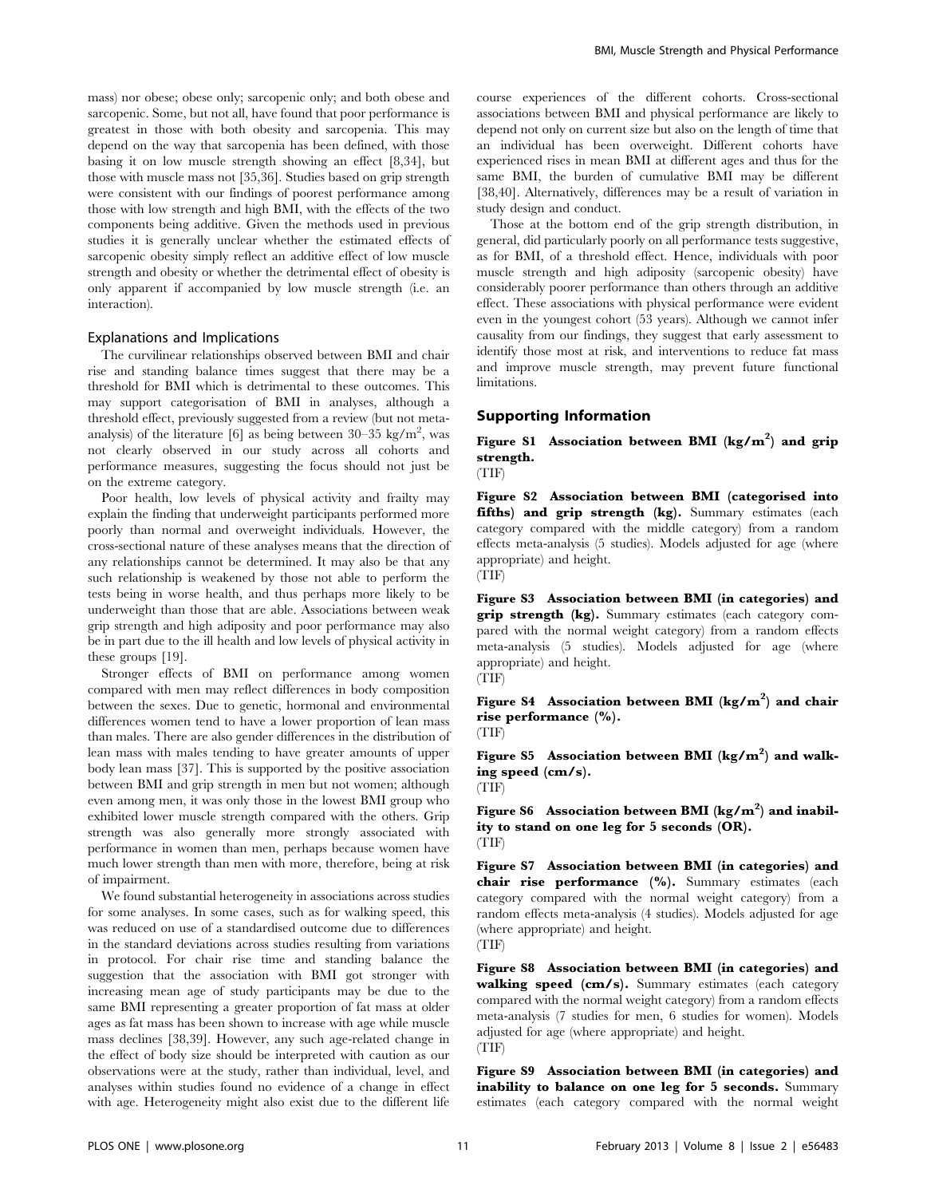mass) nor obese; obese only; sarcopenic only; and both obese and sarcopenic. Some, but not all, have found that poor performance is greatest in those with both obesity and sarcopenia. This may depend on the way that sarcopenia has been defined, with those basing it on low muscle strength showing an effect [8,34], but those with muscle mass not [35,36]. Studies based on grip strength were consistent with our findings of poorest performance among those with low strength and high BMI, with the effects of the two components being additive. Given the methods used in previous studies it is generally unclear whether the estimated effects of sarcopenic obesity simply reflect an additive effect of low muscle strength and obesity or whether the detrimental effect of obesity is only apparent if accompanied by low muscle strength (i.e. an interaction).

#### Explanations and Implications

The curvilinear relationships observed between BMI and chair rise and standing balance times suggest that there may be a threshold for BMI which is detrimental to these outcomes. This may support categorisation of BMI in analyses, although a threshold effect, previously suggested from a review (but not metaanalysis) of the literature [6] as being between  $30-35$  kg/m<sup>2</sup>, was not clearly observed in our study across all cohorts and performance measures, suggesting the focus should not just be on the extreme category.

Poor health, low levels of physical activity and frailty may explain the finding that underweight participants performed more poorly than normal and overweight individuals. However, the cross-sectional nature of these analyses means that the direction of any relationships cannot be determined. It may also be that any such relationship is weakened by those not able to perform the tests being in worse health, and thus perhaps more likely to be underweight than those that are able. Associations between weak grip strength and high adiposity and poor performance may also be in part due to the ill health and low levels of physical activity in these groups [19].

Stronger effects of BMI on performance among women compared with men may reflect differences in body composition between the sexes. Due to genetic, hormonal and environmental differences women tend to have a lower proportion of lean mass than males. There are also gender differences in the distribution of lean mass with males tending to have greater amounts of upper body lean mass [37]. This is supported by the positive association between BMI and grip strength in men but not women; although even among men, it was only those in the lowest BMI group who exhibited lower muscle strength compared with the others. Grip strength was also generally more strongly associated with performance in women than men, perhaps because women have much lower strength than men with more, therefore, being at risk of impairment.

We found substantial heterogeneity in associations across studies for some analyses. In some cases, such as for walking speed, this was reduced on use of a standardised outcome due to differences in the standard deviations across studies resulting from variations in protocol. For chair rise time and standing balance the suggestion that the association with BMI got stronger with increasing mean age of study participants may be due to the same BMI representing a greater proportion of fat mass at older ages as fat mass has been shown to increase with age while muscle mass declines [38,39]. However, any such age-related change in the effect of body size should be interpreted with caution as our observations were at the study, rather than individual, level, and analyses within studies found no evidence of a change in effect with age. Heterogeneity might also exist due to the different life

course experiences of the different cohorts. Cross-sectional associations between BMI and physical performance are likely to depend not only on current size but also on the length of time that an individual has been overweight. Different cohorts have experienced rises in mean BMI at different ages and thus for the same BMI, the burden of cumulative BMI may be different [38,40]. Alternatively, differences may be a result of variation in study design and conduct.

Those at the bottom end of the grip strength distribution, in general, did particularly poorly on all performance tests suggestive, as for BMI, of a threshold effect. Hence, individuals with poor muscle strength and high adiposity (sarcopenic obesity) have considerably poorer performance than others through an additive effect. These associations with physical performance were evident even in the youngest cohort (53 years). Although we cannot infer causality from our findings, they suggest that early assessment to identify those most at risk, and interventions to reduce fat mass and improve muscle strength, may prevent future functional limitations.

### Supporting Information

Figure S1 Association between BMI  $(kg/m^2)$  and grip strength.

(TIF)

Figure S2 Association between BMI (categorised into fifths) and grip strength (kg). Summary estimates (each category compared with the middle category) from a random effects meta-analysis (5 studies). Models adjusted for age (where appropriate) and height.

(TIF)

Figure S3 Association between BMI (in categories) and grip strength (kg). Summary estimates (each category compared with the normal weight category) from a random effects meta-analysis (5 studies). Models adjusted for age (where appropriate) and height.

(TIF)

Figure S4 Association between BMI  $(kg/m^2)$  and chair rise performance (%).

(TIF)

Figure S5 Association between BMI  $({\rm kg/m}^2)$  and walking speed (cm/s). (TIF)

Figure S6  $\,$  Association between BMI (kg/m $^2)$  and inability to stand on one leg for 5 seconds (OR). (TIF)

Figure S7 Association between BMI (in categories) and chair rise performance (%). Summary estimates (each category compared with the normal weight category) from a random effects meta-analysis (4 studies). Models adjusted for age (where appropriate) and height. (TIF)

Figure S8 Association between BMI (in categories) and walking speed (cm/s). Summary estimates (each category compared with the normal weight category) from a random effects meta-analysis (7 studies for men, 6 studies for women). Models adjusted for age (where appropriate) and height. (TIF)

Figure S9 Association between BMI (in categories) and inability to balance on one leg for 5 seconds. Summary estimates (each category compared with the normal weight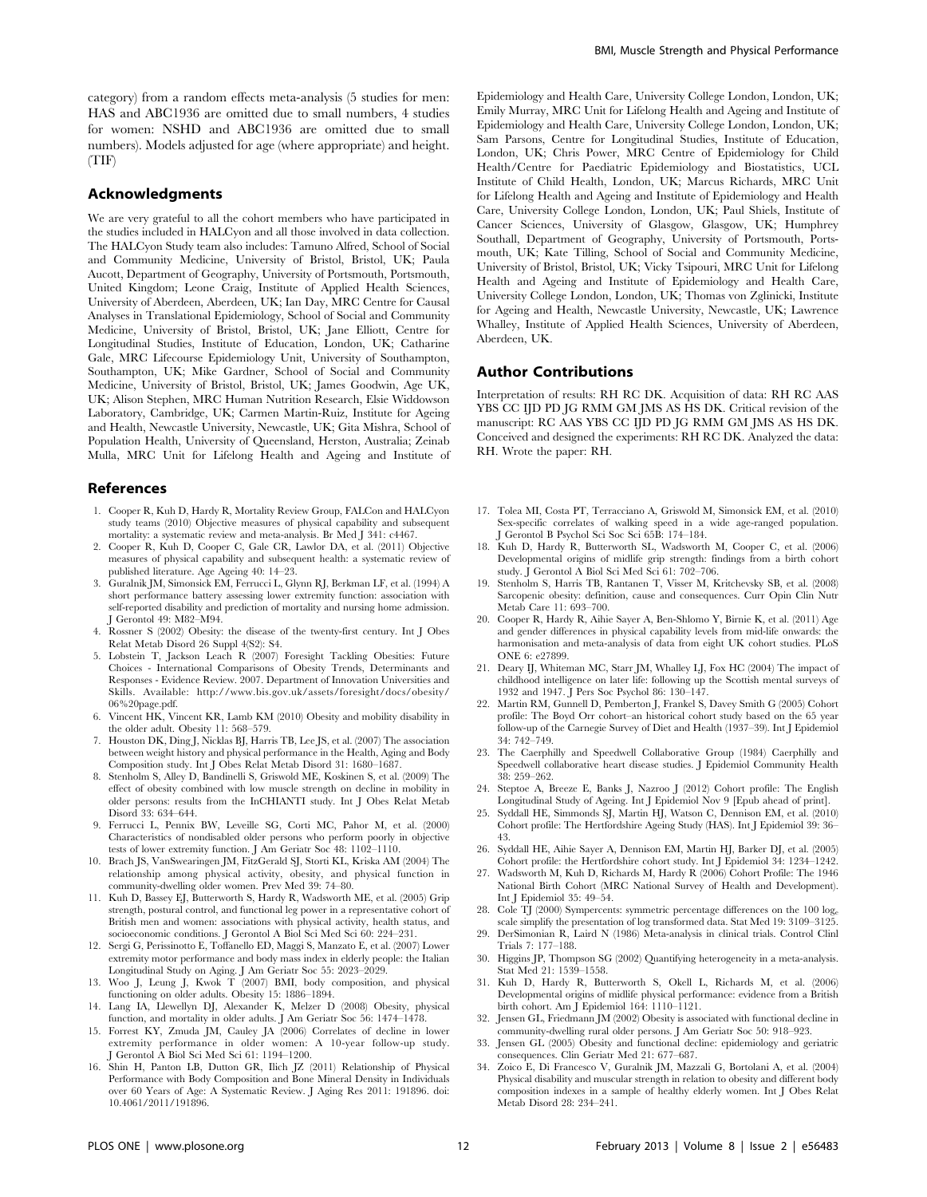category) from a random effects meta-analysis (5 studies for men: HAS and ABC1936 are omitted due to small numbers, 4 studies for women: NSHD and ABC1936 are omitted due to small numbers). Models adjusted for age (where appropriate) and height. (TIF)

#### Acknowledgments

We are very grateful to all the cohort members who have participated in the studies included in HALCyon and all those involved in data collection. The HALCyon Study team also includes: Tamuno Alfred, School of Social and Community Medicine, University of Bristol, Bristol, UK; Paula Aucott, Department of Geography, University of Portsmouth, Portsmouth, United Kingdom; Leone Craig, Institute of Applied Health Sciences, University of Aberdeen, Aberdeen, UK; Ian Day, MRC Centre for Causal Analyses in Translational Epidemiology, School of Social and Community Medicine, University of Bristol, Bristol, UK; Jane Elliott, Centre for Longitudinal Studies, Institute of Education, London, UK; Catharine Gale, MRC Lifecourse Epidemiology Unit, University of Southampton, Southampton, UK; Mike Gardner, School of Social and Community Medicine, University of Bristol, Bristol, UK; James Goodwin, Age UK, UK; Alison Stephen, MRC Human Nutrition Research, Elsie Widdowson Laboratory, Cambridge, UK; Carmen Martin-Ruiz, Institute for Ageing and Health, Newcastle University, Newcastle, UK; Gita Mishra, School of Population Health, University of Queensland, Herston, Australia; Zeinab Mulla, MRC Unit for Lifelong Health and Ageing and Institute of

#### References

- 1. Cooper R, Kuh D, Hardy R, Mortality Review Group, FALCon and HALCyon study teams (2010) Objective measures of physical capability and subsequent mortality: a systematic review and meta-analysis. Br Med J 341: c4467.
- 2. Cooper R, Kuh D, Cooper C, Gale CR, Lawlor DA, et al. (2011) Objective measures of physical capability and subsequent health: a systematic review of published literature. Age Ageing 40: 14–23.
- 3. Guralnik JM, Simonsick EM, Ferrucci L, Glynn RJ, Berkman LF, et al. (1994) A short performance battery assessing lower extremity function: association with self-reported disability and prediction of mortality and nursing home admission. J Gerontol 49: M82–M94.
- 4. Rossner S (2002) Obesity: the disease of the twenty-first century. Int J Obes Relat Metab Disord 26 Suppl 4(S2): S4.
- 5. Lobstein T, Jackson Leach R (2007) Foresight Tackling Obesities: Future Choices - International Comparisons of Obesity Trends, Determinants and Responses - Evidence Review. 2007. Department of Innovation Universities and Skills. Available: http://www.bis.gov.uk/assets/foresight/docs/obesity/ 06%20page.pdf.
- 6. Vincent HK, Vincent KR, Lamb KM (2010) Obesity and mobility disability in the older adult. Obesity 11: 568–579.
- 7. Houston DK, Ding J, Nicklas BJ, Harris TB, Lee JS, et al. (2007) The association between weight history and physical performance in the Health, Aging and Body Composition study. Int J Obes Relat Metab Disord 31: 1680–1687.
- 8. Stenholm S, Alley D, Bandinelli S, Griswold ME, Koskinen S, et al. (2009) The effect of obesity combined with low muscle strength on decline in mobility in older persons: results from the InCHIANTI study. Int J Obes Relat Metab Disord 33: 634–644.
- 9. Ferrucci L, Pennix BW, Leveille SG, Corti MC, Pahor M, et al. (2000) Characteristics of nondisabled older persons who perform poorly in objective tests of lower extremity function. J Am Geriatr Soc 48: 1102–1110.
- 10. Brach JS, VanSwearingen JM, FitzGerald SJ, Storti KL, Kriska AM (2004) The relationship among physical activity, obesity, and physical function in community-dwelling older women. Prev Med 39: 74–80.
- 11. Kuh D, Bassey EJ, Butterworth S, Hardy R, Wadsworth ME, et al. (2005) Grip strength, postural control, and functional leg power in a representative cohort of British men and women: associations with physical activity, health status, and socioeconomic conditions. J Gerontol A Biol Sci Med Sci 60: 224–231.
- 12. Sergi G, Perissinotto E, Toffanello ED, Maggi S, Manzato E, et al. (2007) Lower extremity motor performance and body mass index in elderly people: the Italian Longitudinal Study on Aging. J Am Geriatr Soc 55: 2023–2029.
- 13. Woo J, Leung J, Kwok T (2007) BMI, body composition, and physical functioning on older adults. Obesity 15: 1886–1894.
- 14. Lang IA, Llewellyn DJ, Alexander K, Melzer D (2008) Obesity, physical function, and mortality in older adults. J Am Geriatr Soc 56: 1474–1478.
- 15. Forrest KY, Zmuda JM, Cauley JA (2006) Correlates of decline in lower extremity performance in older women: A 10-year follow-up study. J Gerontol A Biol Sci Med Sci 61: 1194–1200.
- 16. Shin H, Panton LB, Dutton GR, Ilich JZ (2011) Relationship of Physical Performance with Body Composition and Bone Mineral Density in Individuals over 60 Years of Age: A Systematic Review. J Aging Res 2011: 191896. doi: 10.4061/2011/191896.

Epidemiology and Health Care, University College London, London, UK; Emily Murray, MRC Unit for Lifelong Health and Ageing and Institute of Epidemiology and Health Care, University College London, London, UK; Sam Parsons, Centre for Longitudinal Studies, Institute of Education, London, UK; Chris Power, MRC Centre of Epidemiology for Child Health/Centre for Paediatric Epidemiology and Biostatistics, UCL Institute of Child Health, London, UK; Marcus Richards, MRC Unit for Lifelong Health and Ageing and Institute of Epidemiology and Health Care, University College London, London, UK; Paul Shiels, Institute of Cancer Sciences, University of Glasgow, Glasgow, UK; Humphrey Southall, Department of Geography, University of Portsmouth, Portsmouth, UK; Kate Tilling, School of Social and Community Medicine, University of Bristol, Bristol, UK; Vicky Tsipouri, MRC Unit for Lifelong Health and Ageing and Institute of Epidemiology and Health Care, University College London, London, UK; Thomas von Zglinicki, Institute for Ageing and Health, Newcastle University, Newcastle, UK; Lawrence Whalley, Institute of Applied Health Sciences, University of Aberdeen, Aberdeen, UK.

## Author Contributions

Interpretation of results: RH RC DK. Acquisition of data: RH RC AAS YBS CC IJD PD JG RMM GM JMS AS HS DK. Critical revision of the manuscript: RC AAS YBS CC IJD PD JG RMM GM JMS AS HS DK. Conceived and designed the experiments: RH RC DK. Analyzed the data: RH. Wrote the paper: RH.

- 17. Tolea MI, Costa PT, Terracciano A, Griswold M, Simonsick EM, et al. (2010) Sex-specific correlates of walking speed in a wide age-ranged population. J Gerontol B Psychol Sci Soc Sci 65B: 174–184.
- 18. Kuh D, Hardy R, Butterworth SL, Wadsworth M, Cooper C, et al. (2006) Developmental origins of midlife grip strength: findings from a birth cohort study. J Gerontol A Biol Sci Med Sci 61: 702–706.
- 19. Stenholm S, Harris TB, Rantanen T, Visser M, Kritchevsky SB, et al. (2008) Sarcopenic obesity: definition, cause and consequences. Curr Opin Clin Nutr Metab Care 11: 693–700.
- 20. Cooper R, Hardy R, Aihie Sayer A, Ben-Shlomo Y, Birnie K, et al. (2011) Age and gender differences in physical capability levels from mid-life onwards: the harmonisation and meta-analysis of data from eight UK cohort studies. PLoS ONE 6: e27899.
- 21. Deary IJ, Whiteman MC, Starr JM, Whalley LJ, Fox HC (2004) The impact of childhood intelligence on later life: following up the Scottish mental surveys of 1932 and 1947. J Pers Soc Psychol 86: 130–147.
- 22. Martin RM, Gunnell D, Pemberton J, Frankel S, Davey Smith G (2005) Cohort profile: The Boyd Orr cohort–an historical cohort study based on the 65 year follow-up of the Carnegie Survey of Diet and Health (1937–39). Int J Epidemiol 34: 742–749.
- 23. The Caerphilly and Speedwell Collaborative Group (1984) Caerphilly and Speedwell collaborative heart disease studies. J Epidemiol Community Health 38: 259–262.
- 24. Steptoe A, Breeze E, Banks J, Nazroo J (2012) Cohort profile: The English Longitudinal Study of Ageing. Int J Epidemiol Nov 9 [Epub ahead of print].
- 25. Syddall HE, Simmonds SJ, Martin HJ, Watson C, Dennison EM, et al. (2010) Cohort profile: The Hertfordshire Ageing Study (HAS). Int J Epidemiol 39: 36– 43.
- 26. Syddall HE, Aihie Sayer A, Dennison EM, Martin HJ, Barker DJ, et al. (2005) Cohort profile: the Hertfordshire cohort study. Int J Epidemiol 34: 1234–1242.
- 27. Wadsworth M, Kuh D, Richards M, Hardy R (2006) Cohort Profile: The 1946 National Birth Cohort (MRC National Survey of Health and Development). Int J Epidemiol 35: 49–54.
- 28. Cole TJ (2000) Sympercents: symmetric percentage differences on the 100 loge scale simplify the presentation of log transformed data. Stat Med 19: 3109–3125.
- 29. DerSimonian R, Laird N (1986) Meta-analysis in clinical trials. Control Clinl Trials 7: 177–188.
- 30. Higgins JP, Thompson SG (2002) Quantifying heterogeneity in a meta-analysis. Stat Med 21: 1539–1558.
- 31. Kuh D, Hardy R, Butterworth S, Okell L, Richards M, et al. (2006) Developmental origins of midlife physical performance: evidence from a British birth cohort. Am J Epidemiol 164: 1110–1121.
- 32. Jensen GL, Friedmann JM (2002) Obesity is associated with functional decline in community-dwelling rural older persons. J Am Geriatr Soc 50: 918–923.
- 33. Jensen GL (2005) Obesity and functional decline: epidemiology and geriatric consequences. Clin Geriatr Med 21: 677–687.
- 34. Zoico E, Di Francesco V, Guralnik JM, Mazzali G, Bortolani A, et al. (2004) Physical disability and muscular strength in relation to obesity and different body composition indexes in a sample of healthy elderly women. Int J Obes Relat Metab Disord 28: 234–241.